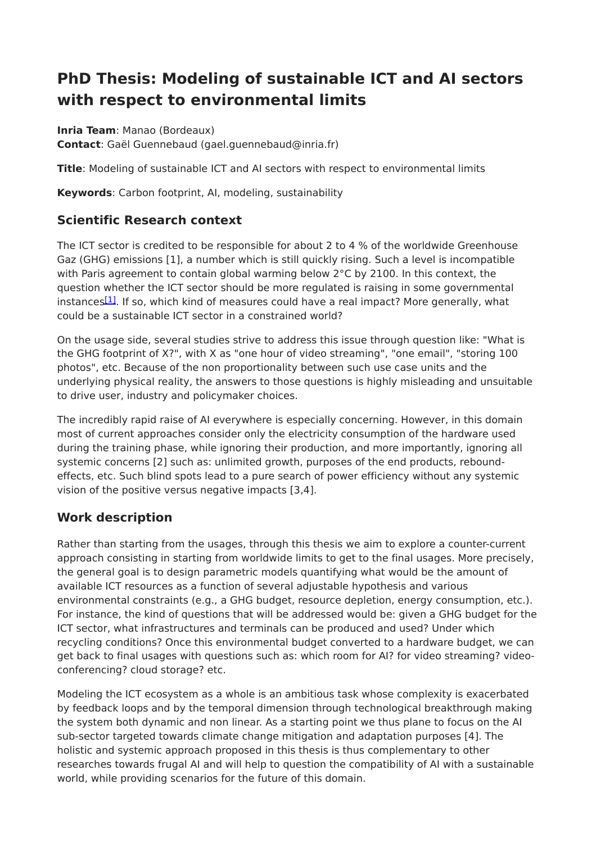# **PhD Thesis: Modeling of sustainable ICT and AI sectors with respect to environmental limits**

**Inria Team**: Manao (Bordeaux) **Contact**: Gaël Guennebaud (gael.guennebaud@inria.fr)

**Title**: Modeling of sustainable ICT and AI sectors with respect to environmental limits

**Keywords**: Carbon footprint, AI, modeling, sustainability

# **Scientific Research context**

The ICT sector is credited to be responsible for about 2 to 4 % of the worldwide Greenhouse Gaz (GHG) emissions [1], a number which is still quickly rising. Such a level is incompatible with Paris agreement to contain global warming below 2°C by 2100. In this context, the question whether the ICT sector should be more regulated is raising in some governmental instances<sup>[\[1\]](file:///home/hackmd/app/markdown-pdf.html#fn1)</sup>. If so, which kind of measures could have a real impact? More generally, what could be a sustainable ICT sector in a constrained world?

On the usage side, several studies strive to address this issue through question like: "What is the GHG footprint of X?", with X as "one hour of video streaming", "one email", "storing 100 photos", etc. Because of the non proportionality between such use case units and the underlying physical reality, the answers to those questions is highly misleading and unsuitable to drive user, industry and policymaker choices.

The incredibly rapid raise of AI everywhere is especially concerning. However, in this domain most of current approaches consider only the electricity consumption of the hardware used during the training phase, while ignoring their production, and more importantly, ignoring all systemic concerns [2] such as: unlimited growth, purposes of the end products, reboundeffects, etc. Such blind spots lead to a pure search of power efficiency without any systemic vision of the positive versus negative impacts [3,4].

# **Work description**

Rather than starting from the usages, through this thesis we aim to explore a counter-current approach consisting in starting from worldwide limits to get to the final usages. More precisely, the general goal is to design parametric models quantifying what would be the amount of available ICT resources as a function of several adjustable hypothesis and various environmental constraints (e.g., a GHG budget, resource depletion, energy consumption, etc.). For instance, the kind of questions that will be addressed would be: given a GHG budget for the ICT sector, what infrastructures and terminals can be produced and used? Under which recycling conditions? Once this environmental budget converted to a hardware budget, we can get back to final usages with questions such as: which room for AI? for video streaming? videoconferencing? cloud storage? etc.

Modeling the ICT ecosystem as a whole is an ambitious task whose complexity is exacerbated by feedback loops and by the temporal dimension through technological breakthrough making the system both dynamic and non linear. As a starting point we thus plane to focus on the AI sub-sector targeted towards climate change mitigation and adaptation purposes [4]. The holistic and systemic approach proposed in this thesis is thus complementary to other researches towards frugal AI and will help to question the compatibility of AI with a sustainable world, while providing scenarios for the future of this domain.